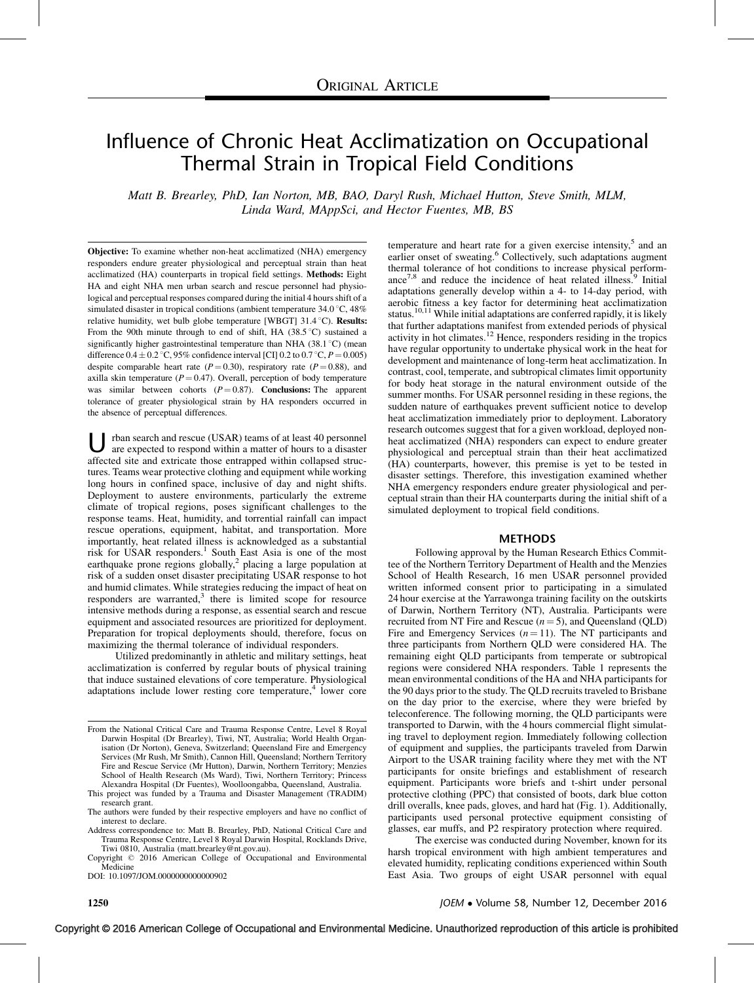# Influence of Chronic Heat Acclimatization on Occupational Thermal Strain in Tropical Field Conditions

Matt B. Brearley, PhD, Ian Norton, MB, BAO, Daryl Rush, Michael Hutton, Steve Smith, MLM, Linda Ward, MAppSci, and Hector Fuentes, MB, BS

Objective: To examine whether non-heat acclimatized (NHA) emergency responders endure greater physiological and perceptual strain than heat acclimatized (HA) counterparts in tropical field settings. Methods: Eight HA and eight NHA men urban search and rescue personnel had physiological and perceptual responses compared during the initial 4 hours shift of a simulated disaster in tropical conditions (ambient temperature  $34.0\degree$ C,  $48\%$ relative humidity, wet bulb globe temperature [WBGT] 31.4 °C). Results: From the 90th minute through to end of shift, HA  $(38.5\degree C)$  sustained a significantly higher gastrointestinal temperature than NHA  $(38.1 \degree C)$  (mean difference  $0.4 \pm 0.2$  °C, 95% confidence interval [CI] 0.2 to 0.7 °C,  $P = 0.005$ ) despite comparable heart rate ( $P = 0.30$ ), respiratory rate ( $P = 0.88$ ), and axilla skin temperature ( $P = 0.47$ ). Overall, perception of body temperature was similar between cohorts  $(P = 0.87)$ . Conclusions: The apparent tolerance of greater physiological strain by HA responders occurred in the absence of perceptual differences.

U rban search and rescue (USAR) teams of at least 40 personnel<br>are expected to respond within a matter of hours to a disaster affected site and extricate those entrapped within collapsed structures. Teams wear protective clothing and equipment while working long hours in confined space, inclusive of day and night shifts. Deployment to austere environments, particularly the extreme climate of tropical regions, poses significant challenges to the response teams. Heat, humidity, and torrential rainfall can impact rescue operations, equipment, habitat, and transportation. More importantly, heat related illness is acknowledged as a substantial risk for USAR responders.<sup>[1](#page-5-0)</sup> South East Asia is one of the most earthquake prone regions globally,<sup>[2](#page-5-0)</sup> placing a large population at risk of a sudden onset disaster precipitating USAR response to hot and humid climates. While strategies reducing the impact of heat on responders are warranted,<sup>[3](#page-5-0)</sup> there is limited scope for resource intensive methods during a response, as essential search and rescue equipment and associated resources are prioritized for deployment. Preparation for tropical deployments should, therefore, focus on maximizing the thermal tolerance of individual responders.

Utilized predominantly in athletic and military settings, heat acclimatization is conferred by regular bouts of physical training that induce sustained elevations of core temperature. Physiological adaptations include lower resting core temperature, $4$  lower core

This project was funded by a Trauma and Disaster Management (TRADIM) research grant.

Address correspondence to: Matt B. Brearley, PhD, National Critical Care and Trauma Response Centre, Level 8 Royal Darwin Hospital, Rocklands Drive, Tiwi 0810, Australia [\(matt.brearley@nt.gov.au](mailto:matt.brearley@nt.gov.au)).

Copyright © 2016 American College of Occupational and Environmental Medicine

DOI: 10.1097/JOM.0000000000000902

temperature and heart rate for a given exercise intensity,<sup>5</sup> and an earlier onset of sweating.<sup>[6](#page-5-0)</sup> Collectively, such adaptations augment thermal tolerance of hot conditions to increase physical perform-ance<sup>[7,8](#page-6-0)</sup> and reduce the incidence of heat related illness.<sup>[9](#page-6-0)</sup> Initial adaptations generally develop within a 4- to 14-day period, with aerobic fitness a key factor for determining heat acclimatization status.<sup>[10,11](#page-6-0)</sup> While initial adaptations are conferred rapidly, it is likely that further adaptations manifest from extended periods of physical activity in hot climates.[12](#page-6-0) Hence, responders residing in the tropics have regular opportunity to undertake physical work in the heat for development and maintenance of long-term heat acclimatization. In contrast, cool, temperate, and subtropical climates limit opportunity for body heat storage in the natural environment outside of the summer months. For USAR personnel residing in these regions, the sudden nature of earthquakes prevent sufficient notice to develop heat acclimatization immediately prior to deployment. Laboratory research outcomes suggest that for a given workload, deployed nonheat acclimatized (NHA) responders can expect to endure greater physiological and perceptual strain than their heat acclimatized (HA) counterparts, however, this premise is yet to be tested in disaster settings. Therefore, this investigation examined whether NHA emergency responders endure greater physiological and perceptual strain than their HA counterparts during the initial shift of a simulated deployment to tropical field conditions.

#### METHODS

Following approval by the Human Research Ethics Committee of the Northern Territory Department of Health and the Menzies School of Health Research, 16 men USAR personnel provided written informed consent prior to participating in a simulated 24 hour exercise at the Yarrawonga training facility on the outskirts of Darwin, Northern Territory (NT), Australia. Participants were recruited from NT Fire and Rescue  $(n = 5)$ , and Queensland (QLD) Fire and Emergency Services  $(n = 11)$ . The NT participants and three participants from Northern QLD were considered HA. The remaining eight QLD participants from temperate or subtropical regions were considered NHA responders. Table 1 represents the mean environmental conditions of the HA and NHA participants for the 90 days prior to the study. The QLD recruits traveled to Brisbane on the day prior to the exercise, where they were briefed by teleconference. The following morning, the QLD participants were transported to Darwin, with the 4 hours commercial flight simulating travel to deployment region. Immediately following collection of equipment and supplies, the participants traveled from Darwin Airport to the USAR training facility where they met with the NT participants for onsite briefings and establishment of research equipment. Participants wore briefs and t-shirt under personal protective clothing (PPC) that consisted of boots, dark blue cotton drill overalls, knee pads, gloves, and hard hat (Fig. 1). Additionally, participants used personal protective equipment consisting of glasses, ear muffs, and P2 respiratory protection where required.

The exercise was conducted during November, known for its harsh tropical environment with high ambient temperatures and elevated humidity, replicating conditions experienced within South East Asia. Two groups of eight USAR personnel with equal

Copyright © 2016 American College of Occupational and Environmental Medicine. Unauthorized reproduction of this article is prohibited

From the National Critical Care and Trauma Response Centre, Level 8 Royal Darwin Hospital (Dr Brearley), Tiwi, NT, Australia; World Health Organisation (Dr Norton), Geneva, Switzerland; Queensland Fire and Emergency Services (Mr Rush, Mr Smith), Cannon Hill, Queensland; Northern Territory Fire and Rescue Service (Mr Hutton), Darwin, Northern Territory; Menzies School of Health Research (Ms Ward), Tiwi, Northern Territory; Princess Alexandra Hospital (Dr Fuentes), Woolloongabba, Queensland, Australia.

The authors were funded by their respective employers and have no conflict of interest to declare.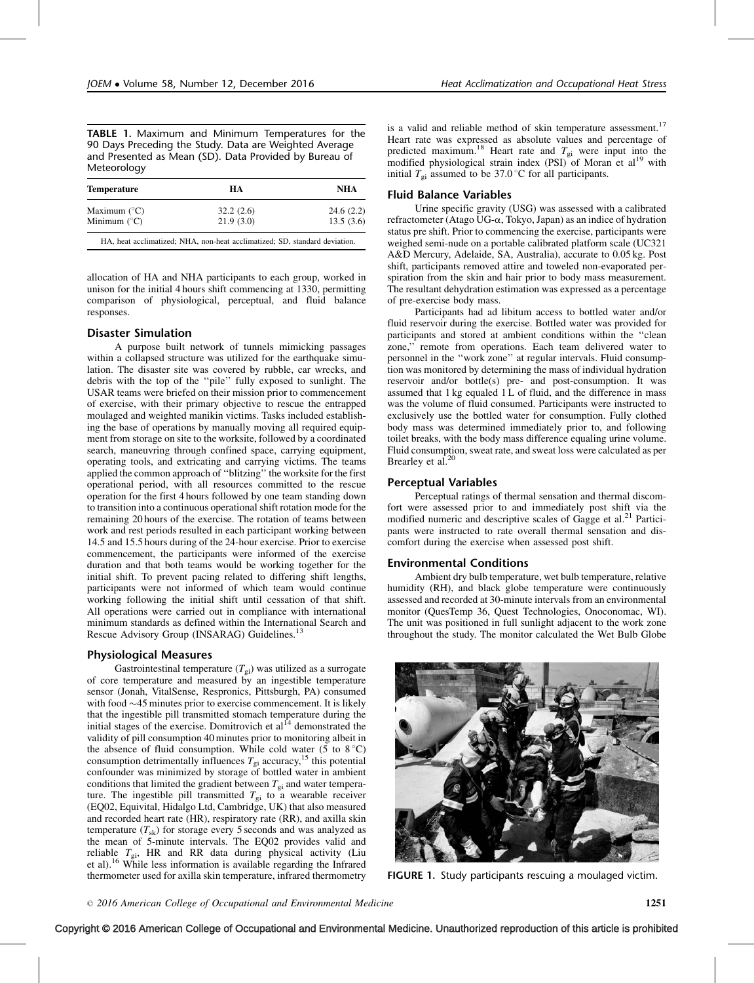TABLE 1. Maximum and Minimum Temperatures for the 90 Days Preceding the Study. Data are Weighted Average and Presented as Mean (SD). Data Provided by Bureau of Meteorology

| <b>Temperature</b>    | HА        | NHA       |  |
|-----------------------|-----------|-----------|--|
| Maximum $(^{\circ}C)$ | 32.2(2.6) | 24.6(2.2) |  |
| Minimum $(^{\circ}C)$ | 21.9(3.0) | 13.5(3.6) |  |

HA, heat acclimatized; NHA, non-heat acclimatized; SD, standard deviation.

allocation of HA and NHA participants to each group, worked in unison for the initial 4 hours shift commencing at 1330, permitting comparison of physiological, perceptual, and fluid balance responses.

# Disaster Simulation

A purpose built network of tunnels mimicking passages within a collapsed structure was utilized for the earthquake simulation. The disaster site was covered by rubble, car wrecks, and debris with the top of the ''pile'' fully exposed to sunlight. The USAR teams were briefed on their mission prior to commencement of exercise, with their primary objective to rescue the entrapped moulaged and weighted manikin victims. Tasks included establishing the base of operations by manually moving all required equipment from storage on site to the worksite, followed by a coordinated search, maneuvring through confined space, carrying equipment, operating tools, and extricating and carrying victims. The teams applied the common approach of ''blitzing'' the worksite for the first operational period, with all resources committed to the rescue operation for the first 4 hours followed by one team standing down to transition into a continuous operational shift rotation mode for the remaining 20 hours of the exercise. The rotation of teams between work and rest periods resulted in each participant working between 14.5 and 15.5 hours during of the 24-hour exercise. Prior to exercise commencement, the participants were informed of the exercise duration and that both teams would be working together for the initial shift. To prevent pacing related to differing shift lengths, participants were not informed of which team would continue working following the initial shift until cessation of that shift. All operations were carried out in compliance with international minimum standards as defined within the International Search and Rescue Advisory Group (INSARAG) Guidelines.<sup>[13](#page-6-0)</sup>

#### Physiological Measures

Gastrointestinal temperature  $(T_{gi})$  was utilized as a surrogate of core temperature and measured by an ingestible temperature sensor (Jonah, VitalSense, Respronics, Pittsburgh, PA) consumed with food  $\sim$  45 minutes prior to exercise commencement. It is likely that the ingestible pill transmitted stomach temperature during the initial stages of the exercise. Domitrovich et al $^{14}$  $^{14}$  $^{14}$  demonstrated the validity of pill consumption 40 minutes prior to monitoring albeit in the absence of fluid consumption. While cold water (5 to  $8^{\circ}$ C) consumption detrimentally influences  $T_{gi}$  accuracy,<sup>[15](#page-6-0)</sup> this potential confounder was minimized by storage of bottled water in ambient conditions that limited the gradient between  $T_{gi}$  and water temperature. The ingestible pill transmitted  $T_{gi}$  to a wearable receiver (EQ02, Equivital, Hidalgo Ltd, Cambridge, UK) that also measured and recorded heart rate (HR), respiratory rate (RR), and axilla skin temperature  $(T_{sk})$  for storage every 5 seconds and was analyzed as the mean of 5-minute intervals. The EQ02 provides valid and reliable  $T_{gi}$ , HR and RR data during physical activity (Liu et al).[16](#page-6-0) While less information is available regarding the Infrared thermometer used for axilla skin temperature, infrared thermometry

is a valid and reliable method of skin temperature assessment.<sup>[17](#page-6-0)</sup> Heart rate was expressed as absolute values and percentage of predicted maximum.<sup>[18](#page-6-0)</sup> Heart rate and  $T_{gi}$  were input into the modified physiological strain index (PSI) of Moran et al<sup>[19](#page-6-0)</sup> with initial  $T_{gi}$  assumed to be 37.0 °C for all participants.

#### Fluid Balance Variables

Urine specific gravity (USG) was assessed with a calibrated refractometer (Atago UG-a, Tokyo, Japan) as an indice of hydration status pre shift. Prior to commencing the exercise, participants were weighed semi-nude on a portable calibrated platform scale (UC321 A&D Mercury, Adelaide, SA, Australia), accurate to 0.05 kg. Post shift, participants removed attire and toweled non-evaporated perspiration from the skin and hair prior to body mass measurement. The resultant dehydration estimation was expressed as a percentage of pre-exercise body mass.

Participants had ad libitum access to bottled water and/or fluid reservoir during the exercise. Bottled water was provided for participants and stored at ambient conditions within the ''clean zone,'' remote from operations. Each team delivered water to personnel in the ''work zone'' at regular intervals. Fluid consumption was monitored by determining the mass of individual hydration reservoir and/or bottle(s) pre- and post-consumption. It was assumed that 1 kg equaled 1 L of fluid, and the difference in mass was the volume of fluid consumed. Participants were instructed to exclusively use the bottled water for consumption. Fully clothed body mass was determined immediately prior to, and following toilet breaks, with the body mass difference equaling urine volume. Fluid consumption, sweat rate, and sweat loss were calculated as per Brearley et al.<sup>[20](#page-6-0)</sup>

## Perceptual Variables

Perceptual ratings of thermal sensation and thermal discomfort were assessed prior to and immediately post shift via the modified numeric and descriptive scales of Gagge et al.<sup>[21](#page-6-0)</sup> Participants were instructed to rate overall thermal sensation and discomfort during the exercise when assessed post shift.

#### Environmental Conditions

Ambient dry bulb temperature, wet bulb temperature, relative humidity (RH), and black globe temperature were continuously assessed and recorded at 30-minute intervals from an environmental monitor (QuesTemp 36, Quest Technologies, Onoconomac, WI). The unit was positioned in full sunlight adjacent to the work zone throughout the study. The monitor calculated the Wet Bulb Globe



FIGURE 1. Study participants rescuing a moulaged victim.

Copyright © 2016 American College of Occupational and Environmental Medicine. Unauthorized reproduction of this article is prohibited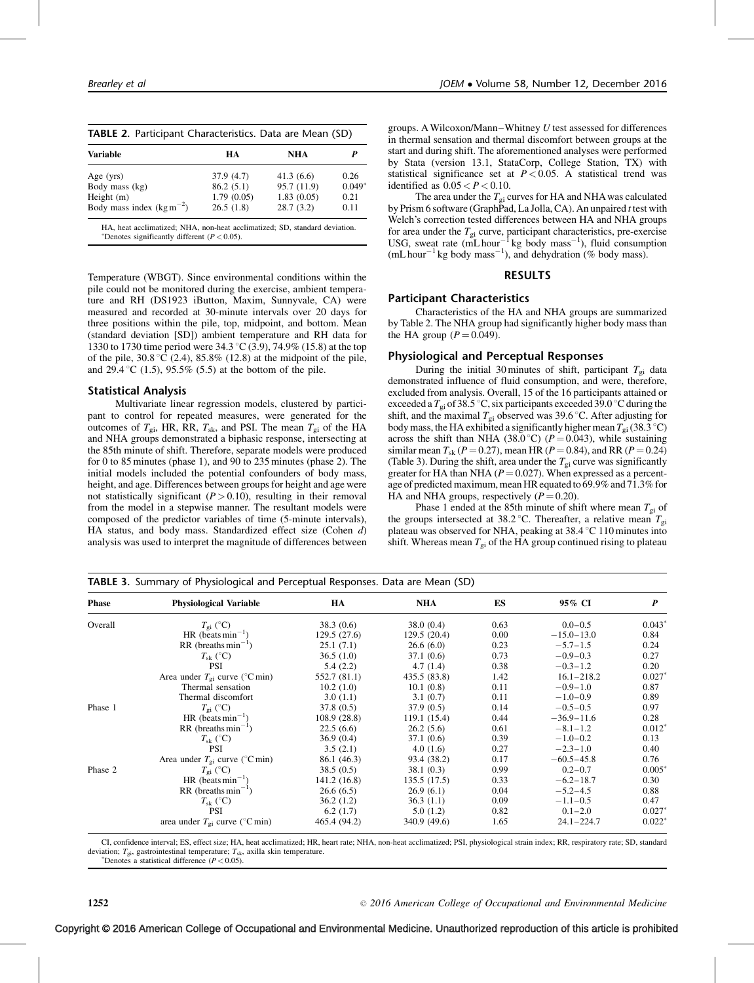| TABLE 2. Participant Characteristics. Data are Mean (SD) |
|----------------------------------------------------------|
|----------------------------------------------------------|

| <b>Variable</b>               | HA         | <b>NHA</b>  |          |  |
|-------------------------------|------------|-------------|----------|--|
| Age $(yrs)$                   | 37.9(4.7)  | 41.3(6.6)   | 0.26     |  |
| Body mass (kg)                | 86.2(5.1)  | 95.7 (11.9) | $0.049*$ |  |
| Height $(m)$                  | 1.79(0.05) | 1.83(0.05)  | 0.21     |  |
| Body mass index $(kg m^{-2})$ | 26.5(1.8)  | 28.7(3.2)   | 0.11     |  |

\*Denotes significantly different  $(P < 0.05)$ .

Temperature (WBGT). Since environmental conditions within the pile could not be monitored during the exercise, ambient temperature and RH (DS1923 iButton, Maxim, Sunnyvale, CA) were measured and recorded at 30-minute intervals over 20 days for three positions within the pile, top, midpoint, and bottom. Mean (standard deviation [SD]) ambient temperature and RH data for 1330 to 1730 time period were  $34.3\text{ °C}$  (3.9), 74.9% (15.8) at the top of the pile,  $30.8\text{ °C}$  (2.4),  $85.8\%$  (12.8) at the midpoint of the pile, and 29.4 °C (1.5), 95.5% (5.5) at the bottom of the pile.

# Statistical Analysis

Multivariate linear regression models, clustered by participant to control for repeated measures, were generated for the outcomes of  $T_{gi}$ , HR, RR,  $T_{sk}$ , and PSI. The mean  $T_{gi}$  of the HA and NHA groups demonstrated a biphasic response, intersecting at the 85th minute of shift. Therefore, separate models were produced for 0 to 85 minutes (phase 1), and 90 to 235 minutes (phase 2). The initial models included the potential confounders of body mass, height, and age. Differences between groups for height and age were not statistically significant  $(P > 0.10)$ , resulting in their removal from the model in a stepwise manner. The resultant models were composed of the predictor variables of time (5-minute intervals), HA status, and body mass. Standardized effect size (Cohen d) analysis was used to interpret the magnitude of differences between groups. AWilcoxon/Mann–Whitney U test assessed for differences in thermal sensation and thermal discomfort between groups at the start and during shift. The aforementioned analyses were performed by Stata (version 13.1, StataCorp, College Station, TX) with statistical significance set at  $P < 0.05$ . A statistical trend was identified as  $0.05 < P < 0.10$ .

The area under the  $T_{gi}$  curves for HA and NHA was calculated by Prism 6 software (GraphPad, La Jolla, CA). An unpaired  $t$  test with Welch's correction tested differences between HA and NHA groups for area under the  $T_{gi}$  curve, participant characteristics, pre-exercise USG, sweat rate (mL hour<sup>-1</sup> kg body mass<sup>-1</sup>), fluid consumption  $(mL hour^{-1} kg body mass^{-1})$ , and dehydration (% body mass).

## RESULTS

# Participant Characteristics

Characteristics of the HA and NHA groups are summarized by Table 2. The NHA group had significantly higher body mass than the HA group  $(P = 0.049)$ .

# Physiological and Perceptual Responses

During the initial 30 minutes of shift, participant  $T_{gi}$  data demonstrated influence of fluid consumption, and were, therefore, excluded from analysis. Overall, 15 of the 16 participants attained or exceeded a  $T_{gi}$  of 38.5 °C, six participants exceeded 39.0 °C during the shift, and the maximal  $T_{gi}$  observed was 39.6 °C. After adjusting for body mass, the HA exhibited a significantly higher mean  $T_{gi}(38.3 \degree C)$ across the shift than NHA (38.0 °C) ( $P = 0.043$ ), while sustaining similar mean  $T_{sk}$  (P = 0.27), mean HR (P = 0.84), and RR (P = 0.24) (Table 3). During the shift, area under the  $T_{gi}$  curve was significantly greater for HA than NHA ( $P = 0.027$ ). When expressed as a percentage of predicted maximum, mean HR equated to 69.9% and 71.3% for HA and NHA groups, respectively  $(P = 0.20)$ .

Phase 1 ended at the 85th minute of shift where mean  $T_{gi}$  of the groups intersected at 38.2 °C. Thereafter, a relative mean  $T_{gi}$ plateau was observed for NHA, peaking at  $38.4\text{ °C}$  110 minutes into shift. Whereas mean  $T_{gi}$  of the HA group continued rising to plateau

| <b>Phase</b> | <b>Physiological Variable</b>             | HA           | <b>NHA</b>   | ES       | 95% CI         | $\boldsymbol{P}$ |
|--------------|-------------------------------------------|--------------|--------------|----------|----------------|------------------|
| Overall      | $T_{\rm gi}$ (°C)                         | 38.3(0.6)    | 38.0(0.4)    | 0.63     | $0.0 - 0.5$    | $0.043*$         |
|              | HR (beats $\min^{-1}$ )                   | 129.5 (27.6) | 129.5(20.4)  | $0.00\,$ | $-15.0 - 13.0$ | 0.84             |
|              | $RR$ (breaths min <sup>-1</sup> )         | 25.1(7.1)    | 26.6(6.0)    | 0.23     | $-5.7-1.5$     | 0.24             |
|              | $T_{\rm sk}$ (°C)                         | 36.5(1.0)    | 37.1(0.6)    | 0.73     | $-0.9-0.3$     | 0.27             |
|              | <b>PSI</b>                                | 5.4(2.2)     | 4.7(1.4)     | 0.38     | $-0.3 - 1.2$   | 0.20             |
|              | Area under $T_{\text{ei}}$ curve (°C min) | 552.7 (81.1) | 435.5 (83.8) | 1.42     | $16.1 - 218.2$ | $0.027*$         |
|              | Thermal sensation                         | 10.2(1.0)    | 10.1(0.8)    | 0.11     | $-0.9 - 1.0$   | 0.87             |
|              | Thermal discomfort                        | 3.0(1.1)     | 3.1(0.7)     | 0.11     | $-1.0-0.9$     | 0.89             |
| Phase 1      | $T_{\text{gi}}$ (°C)                      | 37.8(0.5)    | 37.9(0.5)    | 0.14     | $-0.5-0.5$     | 0.97             |
|              | HR (beats $min^{-1}$ )                    | 108.9(28.8)  | 119.1(15.4)  | 0.44     | $-36.9 - 11.6$ | 0.28             |
|              | RR (breaths $min^{-1}$ )                  | 22.5(6.6)    | 26.2(5.6)    | 0.61     | $-8.1 - 1.2$   | $0.012*$         |
|              | $T_{\rm sk}$ (°C)                         | 36.9(0.4)    | 37.1(0.6)    | 0.39     | $-1.0 - 0.2$   | 0.13             |
|              | <b>PSI</b>                                | 3.5(2.1)     | 4.0(1.6)     | 0.27     | $-2.3 - 1.0$   | 0.40             |
|              | Area under $T_{\rm ei}$ curve (°C min)    | 86.1 (46.3)  | 93.4 (38.2)  | 0.17     | $-60.5 - 45.8$ | 0.76             |
| Phase 2      | $T_{\rm gi}$ (°C)                         | 38.5(0.5)    | 38.1(0.3)    | 0.99     | $0.2 - 0.7$    | $0.005*$         |
|              | HR (beats min <sup>-1</sup> )             | 141.2 (16.8) | 135.5(17.5)  | 0.33     | $-6.2 - 18.7$  | 0.30             |
|              | RR (breaths $min^{-1}$ )                  | 26.6(6.5)    | 26.9(6.1)    | 0.04     | $-5.2 - 4.5$   | 0.88             |
|              | $T_{\rm sk}$ (°C)                         | 36.2(1.2)    | 36.3(1.1)    | 0.09     | $-1.1 - 0.5$   | 0.47             |
|              | <b>PSI</b>                                | 6.2(1.7)     | 5.0(1.2)     | 0.82     | $0.1 - 2.0$    | $0.027*$         |
|              | area under $T_{\text{ei}}$ curve (°C min) | 465.4 (94.2) | 340.9 (49.6) | 1.65     | $24.1 - 224.7$ | $0.022*$         |

CI, confidence interval; ES, effect size; HA, heat acclimatized; HR, heart rate; NHA, non-heat acclimatized; PSI, physiological strain index; RR, respiratory rate; SD, standard deviation;  $T_{gi}$ , gastrointestinal temperature;  $T_{sk}$ , axilla skin temperature.

\*Denotes a statistical difference  $(P < 0.05)$ .

2016 American College of Occupational and Environmental Medicine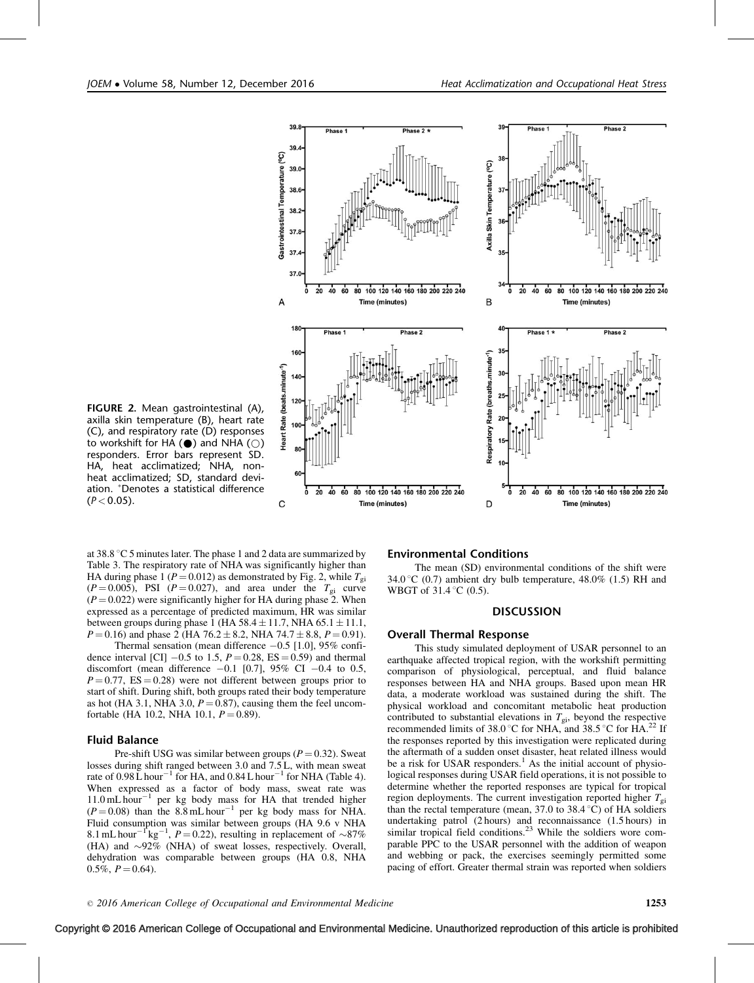

FIGURE 2. Mean gastrointestinal (A), axilla skin temperature (B), heart rate (C), and respiratory rate (D) responses to workshift for HA  $(\odot)$  and NHA  $(\odot)$ responders. Error bars represent SD. HA, heat acclimatized; NHA, nonheat acclimatized; SD, standard deviation. Denotes a statistical difference  $(P < 0.05)$ .

at  $38.8\textdegree$ C 5 minutes later. The phase 1 and 2 data are summarized by Table 3. The respiratory rate of NHA was significantly higher than HA during phase 1 ( $P = 0.012$ ) as demonstrated by Fig. 2, while  $T_{gi}$  $(P = 0.005)$ , PSI  $(P = 0.027)$ , and area under the  $T_{gi}$  curve  $(P = 0.022)$  were significantly higher for HA during phase 2. When expressed as a percentage of predicted maximum, HR was similar between groups during phase 1 (HA  $58.4 \pm 11.7$ , NHA  $65.1 \pm 11.1$ ,  $P = 0.16$ ) and phase 2 (HA 76.2  $\pm$  8.2, NHA 74.7  $\pm$  8.8,  $P = 0.91$ ).

Thermal sensation (mean difference  $-0.5$  [1.0], 95% confidence interval [CI]  $-0.5$  to 1.5,  $P = 0.28$ , ES  $= 0.59$ ) and thermal discomfort (mean difference  $-0.1$  [0.7], 95% CI  $-0.4$  to 0.5,  $P = 0.77$ , ES = 0.28) were not different between groups prior to start of shift. During shift, both groups rated their body temperature as hot (HA 3.1, NHA 3.0,  $P = 0.87$ ), causing them the feel uncomfortable (HA 10.2, NHA 10.1,  $P = 0.89$ ).

#### Fluid Balance

Pre-shift USG was similar between groups ( $P = 0.32$ ). Sweat losses during shift ranged between 3.0 and 7.5 L, with mean sweat rate of  $0.98 \mathrm{L}$  hour<sup>-1</sup> for HA, and  $0.84 \mathrm{L}$  hour<sup>-1</sup> for NHA (Table 4). When expressed as a factor of body mass, sweat rate was  $11.0 \text{ mL hour}^{-1}$  per kg body mass for HA that trended higher  $(P = 0.08)$  than the 8.8 mL hour<sup>-1</sup> per kg body mass for NHA. Fluid consumption was similar between groups (HA 9.6 v NHA 8.1 mL hour<sup>-1</sup> kg<sup>-1</sup>,  $P = 0.22$ ), resulting in replacement of ~87% (HA) and  $\sim$ 92% (NHA) of sweat losses, respectively. Overall, dehydration was comparable between groups (HA 0.8, NHA  $0.5\%, P=0.64$ ).

#### Environmental Conditions

The mean (SD) environmental conditions of the shift were 34.0 °C (0.7) ambient dry bulb temperature, 48.0% (1.5) RH and WBGT of  $31.4\degree$ C (0.5).

#### **DISCUSSION**

#### Overall Thermal Response

This study simulated deployment of USAR personnel to an earthquake affected tropical region, with the workshift permitting comparison of physiological, perceptual, and fluid balance responses between HA and NHA groups. Based upon mean HR data, a moderate workload was sustained during the shift. The physical workload and concomitant metabolic heat production contributed to substantial elevations in  $T_{gi}$ , beyond the respective recommended limits of 38.0 °C for NHA, and 38.5 °C for HA.<sup>[22](#page-6-0)</sup> If the responses reported by this investigation were replicated during the aftermath of a sudden onset disaster, heat related illness would be a risk for USAR responders.<sup>[1](#page-5-0)</sup> As the initial account of physiological responses during USAR field operations, it is not possible to determine whether the reported responses are typical for tropical region deployments. The current investigation reported higher  $T_{gi}$ than the rectal temperature (mean,  $37.0$  to  $38.4^{\circ}$ C) of HA soldiers undertaking patrol (2 hours) and reconnaissance (1.5 hours) in similar tropical field conditions.<sup>[23](#page-6-0)</sup> While the soldiers wore comparable PPC to the USAR personnel with the addition of weapon and webbing or pack, the exercises seemingly permitted some pacing of effort. Greater thermal strain was reported when soldiers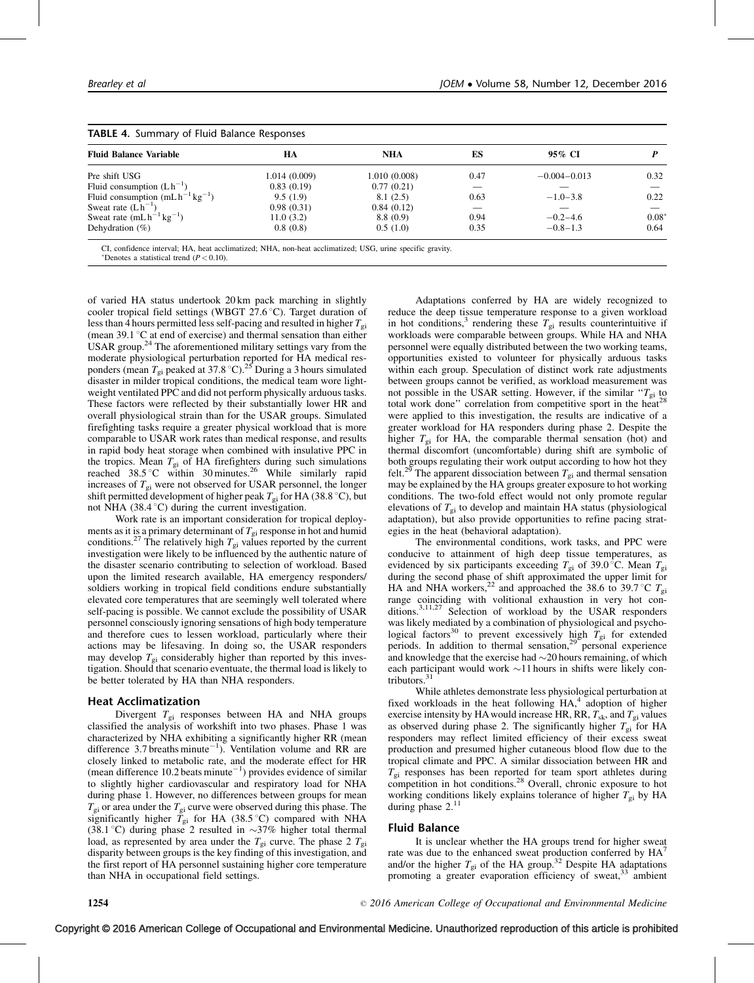| <b>Fluid Balance Variable</b>           | HA            | <b>NHA</b>    | ES   | 95% CI           |         |
|-----------------------------------------|---------------|---------------|------|------------------|---------|
| Pre shift USG                           | 1.014 (0.009) | 1.010 (0.008) | 0.47 | $-0.004 - 0.013$ | 0.32    |
| Fluid consumption $(Lh^{-1})$           | 0.83(0.19)    | 0.77(0.21)    |      |                  |         |
| Fluid consumption $(mL h^{-1} kg^{-1})$ | 9.5(1.9)      | 8.1(2.5)      | 0.63 | $-1.0-3.8$       | 0.22    |
| Sweat rate $(Lh^{-1})$                  | 0.98(0.31)    | 0.84(0.12)    |      |                  |         |
| Sweat rate $(mLh^{-1}kg^{-1})$          | 11.0(3.2)     | 8.8 (0.9)     | 0.94 | $-0.2 - 4.6$     | $0.08*$ |
| Dehydration $(\%)$                      | 0.8(0.8)      | 0.5(1.0)      | 0.35 | $-0.8 - 1.3$     | 0.64    |

acclimatized; NHA, non-heat acclimatized; USG, urine specific gravity.

\*Denotes a statistical trend  $(P < 0.10)$ .

of varied HA status undertook 20 km pack marching in slightly cooler tropical field settings (WBGT 27.6  $\degree$ C). Target duration of less than 4 hours permitted less self-pacing and resulted in higher  $T_{gi}$ (mean  $39.1 \text{ °C}$  at end of exercise) and thermal sensation than either USAR group.<sup>24</sup> The aforementioned military settings vary from the moderate physiological perturbation reported for HA medical res-<br>ponders (mean  $T_{gi}$  peaked at 37.8 °C).<sup>[25](#page-6-0)</sup> During a 3 hours simulated disaster in milder tropical conditions, the medical team wore lightweight ventilated PPC and did not perform physically arduous tasks. These factors were reflected by their substantially lower HR and overall physiological strain than for the USAR groups. Simulated firefighting tasks require a greater physical workload that is more comparable to USAR work rates than medical response, and results in rapid body heat storage when combined with insulative PPC in the tropics. Mean  $T_{gi}$  of HA firefighters during such simulations reached 38.5 °C within 30 minutes.<sup>26</sup> While similarly rapid increases of  $T_{gi}$  were not observed for USAR personnel, the longer shift permitted development of higher peak  $T_{gi}$  for HA (38.8 °C), but not NHA  $(38.4 \degree C)$  during the current investigation.

Work rate is an important consideration for tropical deployments as it is a primary determinant of  $T_{gi}$  response in hot and humid conditions.<sup>[27](#page-6-0)</sup> The relatively high  $T_{gi}$  values reported by the current investigation were likely to be influenced by the authentic nature of the disaster scenario contributing to selection of workload. Based upon the limited research available, HA emergency responders/ soldiers working in tropical field conditions endure substantially elevated core temperatures that are seemingly well tolerated where self-pacing is possible. We cannot exclude the possibility of USAR personnel consciously ignoring sensations of high body temperature and therefore cues to lessen workload, particularly where their actions may be lifesaving. In doing so, the USAR responders may develop  $T_{gi}$  considerably higher than reported by this investigation. Should that scenario eventuate, the thermal load is likely to be better tolerated by HA than NHA responders.

# Heat Acclimatization

Divergent  $T_{gi}$  responses between HA and NHA groups classified the analysis of workshift into two phases. Phase 1 was characterized by NHA exhibiting a significantly higher RR (mean difference 3.7 breaths minute<sup>-1</sup>). Ventilation volume and RR are closely linked to metabolic rate, and the moderate effect for HR (mean difference 10.2 beats minute<sup> $-1$ </sup>) provides evidence of similar to slightly higher cardiovascular and respiratory load for NHA during phase 1. However, no differences between groups for mean  $T_{gi}$  or area under the  $T_{gi}$  curve were observed during this phase. The significantly higher  $T_{gi}$  for HA (38.5 °C) compared with NHA (38.1 °C) during phase 2 resulted in  $\sim$ 37% higher total thermal load, as represented by area under the  $T_{gi}$  curve. The phase 2  $T_{gi}$ disparity between groups is the key finding of this investigation, and the first report of HA personnel sustaining higher core temperature than NHA in occupational field settings.

Adaptations conferred by HA are widely recognized to reduce the deep tissue temperature response to a given workload in hot conditions,<sup>[3](#page-5-0)</sup> rendering these  $T_{gi}$  results counterintuitive if workloads were comparable between groups. While HA and NHA personnel were equally distributed between the two working teams, opportunities existed to volunteer for physically arduous tasks within each group. Speculation of distinct work rate adjustments between groups cannot be verified, as workload measurement was not possible in the USAR setting. However, if the similar  $T_{gi}$  to total work done" correlation from competitive sport in the heat<sup>[28](#page-6-0)</sup> were applied to this investigation, the results are indicative of a greater workload for HA responders during phase 2. Despite the higher  $T_{gi}$  for HA, the comparable thermal sensation (hot) and thermal discomfort (uncomfortable) during shift are symbolic of both groups regulating their work output according to how hot they felt.<sup>[29](#page-6-0)</sup> The apparent dissociation between  $T_{gi}$  and thermal sensation may be explained by the HA groups greater exposure to hot working conditions. The two-fold effect would not only promote regular elevations of  $T_{gi}$  to develop and maintain HA status (physiological adaptation), but also provide opportunities to refine pacing strategies in the heat (behavioral adaptation).

The environmental conditions, work tasks, and PPC were conducive to attainment of high deep tissue temperatures, as evidenced by six participants exceeding  $T_{gi}$  of 39.0 °C. Mean  $T_{gi}$ during the second phase of shift approximated the upper limit for HA and NHA workers,<sup>[22](#page-6-0)</sup> and approached the 38.6 to 39.7 °C  $T_{\text{gi}}$ range coinciding with volitional exhaustion in very hot con-ditions.<sup>[3,11,27](#page-5-0)</sup> Selection of workload by the USAR responders was likely mediated by a combination of physiological and psycho-logical factors<sup>[30](#page-6-0)</sup> to prevent excessively high  $T_{gi}$  for extended periods. In addition to thermal sensation,<sup>[29](#page-6-0)</sup> personal experience and knowledge that the exercise had  $\sim$  20 hours remaining, of which each participant would work  $\sim$ 11 hours in shifts were likely contributors. $31$ 

While athletes demonstrate less physiological perturbation at fixed workloads in the heat following  $HA$ , adoption of higher exercise intensity by HA would increase HR, RR,  $T_{sk}$ , and  $T_{gi}$  values as observed during phase 2. The significantly higher  $T_{gi}$  for HA responders may reflect limited efficiency of their excess sweat production and presumed higher cutaneous blood flow due to the tropical climate and PPC. A similar dissociation between HR and  $T_{gi}$  responses has been reported for team sport athletes during competition in hot conditions.<sup>[28](#page-6-0)</sup> Overall, chronic exposure to hot working conditions likely explains tolerance of higher  $T_{gi}$  by HA during phase  $2.^{11}$  $2.^{11}$  $2.^{11}$ 

#### Fluid Balance

It is unclear whether the HA groups trend for higher sweat rate was due to the enhanced sweat production conferred by  $HA<sup>7</sup>$  $HA<sup>7</sup>$  $HA<sup>7</sup>$ and/or the higher  $T_{gi}$  of the HA group.<sup>[32](#page-6-0)</sup> Despite HA adaptations promoting a greater evaporation efficiency of sweat,<sup>[33](#page-6-0)</sup> ambient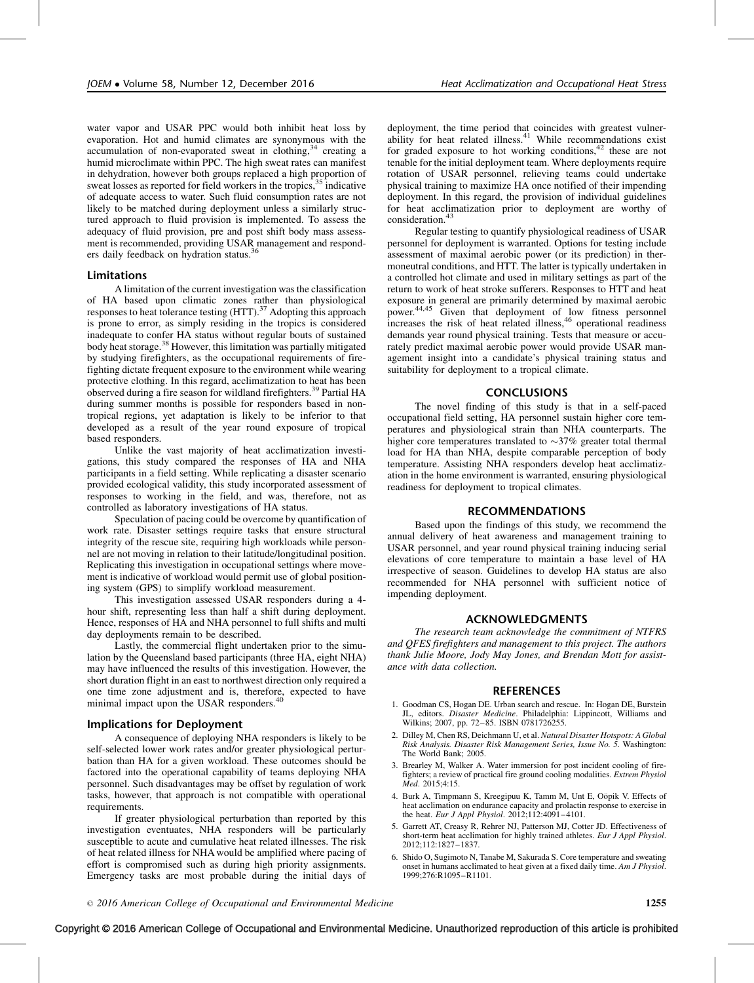<span id="page-5-0"></span>water vapor and USAR PPC would both inhibit heat loss by evaporation. Hot and humid climates are synonymous with the accumulation of non-evaporated sweat in clothing,<sup>[34](#page-6-0)</sup> creating a humid microclimate within PPC. The high sweat rates can manifest in dehydration, however both groups replaced a high proportion of sweat losses as reported for field workers in the tropics,<sup>[35](#page-6-0)</sup> indicative of adequate access to water. Such fluid consumption rates are not likely to be matched during deployment unless a similarly structured approach to fluid provision is implemented. To assess the adequacy of fluid provision, pre and post shift body mass assessment is recommended, providing USAR management and responders daily feedback on hydration status.[36](#page-6-0)

### Limitations

A limitation of the current investigation was the classification of HA based upon climatic zones rather than physiological responses to heat tolerance testing (HTT).<sup>[37](#page-6-0)</sup> Adopting this approach is prone to error, as simply residing in the tropics is considered inadequate to confer HA status without regular bouts of sustained body heat storage.<sup>[38](#page-6-0)</sup> However, this limitation was partially mitigated by studying firefighters, as the occupational requirements of firefighting dictate frequent exposure to the environment while wearing protective clothing. In this regard, acclimatization to heat has been observed during a fire season for wildland firefighters.[39](#page-6-0) Partial HA during summer months is possible for responders based in nontropical regions, yet adaptation is likely to be inferior to that developed as a result of the year round exposure of tropical based responders.

Unlike the vast majority of heat acclimatization investigations, this study compared the responses of HA and NHA participants in a field setting. While replicating a disaster scenario provided ecological validity, this study incorporated assessment of responses to working in the field, and was, therefore, not as controlled as laboratory investigations of HA status.

Speculation of pacing could be overcome by quantification of work rate. Disaster settings require tasks that ensure structural integrity of the rescue site, requiring high workloads while personnel are not moving in relation to their latitude/longitudinal position. Replicating this investigation in occupational settings where movement is indicative of workload would permit use of global positioning system (GPS) to simplify workload measurement.

This investigation assessed USAR responders during a 4 hour shift, representing less than half a shift during deployment. Hence, responses of HA and NHA personnel to full shifts and multi day deployments remain to be described.

Lastly, the commercial flight undertaken prior to the simulation by the Queensland based participants (three HA, eight NHA) may have influenced the results of this investigation. However, the short duration flight in an east to northwest direction only required a one time zone adjustment and is, therefore, expected to have minimal impact upon the USAR responders.<sup>4</sup>

# Implications for Deployment

A consequence of deploying NHA responders is likely to be self-selected lower work rates and/or greater physiological perturbation than HA for a given workload. These outcomes should be factored into the operational capability of teams deploying NHA personnel. Such disadvantages may be offset by regulation of work tasks, however, that approach is not compatible with operational requirements.

If greater physiological perturbation than reported by this investigation eventuates, NHA responders will be particularly susceptible to acute and cumulative heat related illnesses. The risk of heat related illness for NHA would be amplified where pacing of effort is compromised such as during high priority assignments. Emergency tasks are most probable during the initial days of deployment, the time period that coincides with greatest vulnerability for heat related illness. $41$  While recommendations exist for graded exposure to hot working conditions,<sup>[42](#page-6-0)</sup> these are not tenable for the initial deployment team. Where deployments require rotation of USAR personnel, relieving teams could undertake physical training to maximize HA once notified of their impending deployment. In this regard, the provision of individual guidelines for heat acclimatization prior to deployment are worthy of consideration.<sup>[43](#page-6-0)</sup>

Regular testing to quantify physiological readiness of USAR personnel for deployment is warranted. Options for testing include assessment of maximal aerobic power (or its prediction) in thermoneutral conditions, and HTT. The latter is typically undertaken in a controlled hot climate and used in military settings as part of the return to work of heat stroke sufferers. Responses to HTT and heat exposure in general are primarily determined by maximal aerobic power.[44,45](#page-6-0) Given that deployment of low fitness personnel increases the risk of heat related illness,<sup>[46](#page-6-0)</sup> operational readiness demands year round physical training. Tests that measure or accurately predict maximal aerobic power would provide USAR management insight into a candidate's physical training status and suitability for deployment to a tropical climate.

#### CONCLUSIONS

The novel finding of this study is that in a self-paced occupational field setting, HA personnel sustain higher core temperatures and physiological strain than NHA counterparts. The higher core temperatures translated to  $\sim$ 37% greater total thermal load for HA than NHA, despite comparable perception of body temperature. Assisting NHA responders develop heat acclimatization in the home environment is warranted, ensuring physiological readiness for deployment to tropical climates.

#### RECOMMENDATIONS

Based upon the findings of this study, we recommend the annual delivery of heat awareness and management training to USAR personnel, and year round physical training inducing serial elevations of core temperature to maintain a base level of HA irrespective of season. Guidelines to develop HA status are also recommended for NHA personnel with sufficient notice of impending deployment.

### ACKNOWLEDGMENTS

The research team acknowledge the commitment of NTFRS and QFES firefighters and management to this project. The authors thank Julie Moore, Jody May Jones, and Brendan Mott for assistance with data collection.

#### REFERENCES

- 1. Goodman CS, Hogan DE. Urban search and rescue. In: Hogan DE, Burstein JL, editors. Disaster Medicine. Philadelphia: Lippincott, Williams and Wilkins; 2007, pp. 72-85. ISBN 0781726255.
- 2. Dilley M, Chen RS, Deichmann U, et al. Natural Disaster Hotspots: A Global Risk Analysis. Disaster Risk Management Series, Issue No. 5. Washington: The World Bank; 2005.
- 3. Brearley M, Walker A. Water immersion for post incident cooling of firefighters; a review of practical fire ground cooling modalities. Extrem Physiol Med. 2015;4:15.
- 4. Burk A, Timpmann S, Kreegipuu K, Tamm M, Unt E, Oöpik V. Effects of heat acclimation on endurance capacity and prolactin response to exercise in the heat. Eur J Appl Physiol.  $2012;112:4091-4101$ .
- 5. Garrett AT, Creasy R, Rehrer NJ, Patterson MJ, Cotter JD. Effectiveness of short-term heat acclimation for highly trained athletes. Eur J Appl Physiol. 2012;112:1827–1837.
- 6. Shido O, Sugimoto N, Tanabe M, Sakurada S. Core temperature and sweating onset in humans acclimated to heat given at a fixed daily time. Am J Physiol. 1999;276:R1095–R1101.

# Copyright © 2016 American College of Occupational and Environmental Medicine. Unauthorized reproduction of this article is prohibited